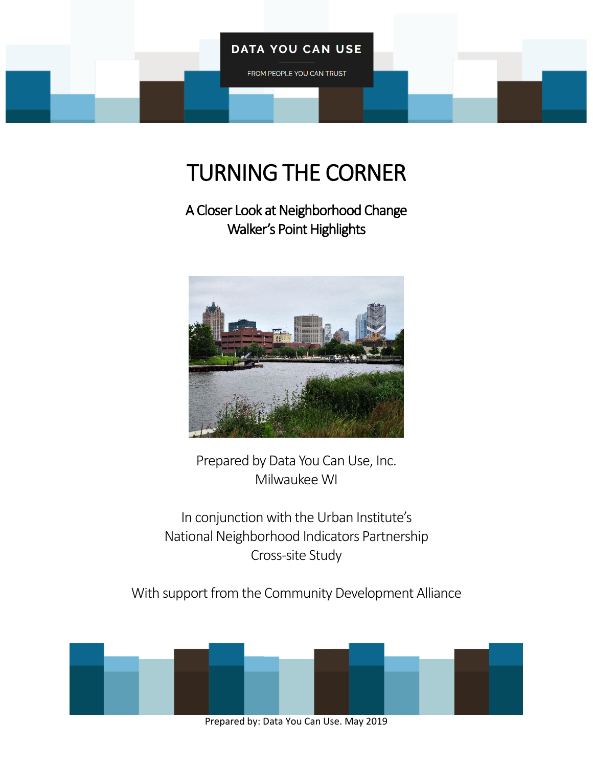### **DATA YOU CAN USE**

FROM PEOPLE YOU CAN TRUST

# TURNING THE CORNER

A Closer Look at Neighborhood Change Walker's Point Highlights



Prepared by Data You Can Use, Inc. Milwaukee WI

In conjunction with the Urban Institute's National Neighborhood Indicators Partnership Cross-site Study

With support from the Community Development Alliance



Prepared by: Data You Can Use. May 2019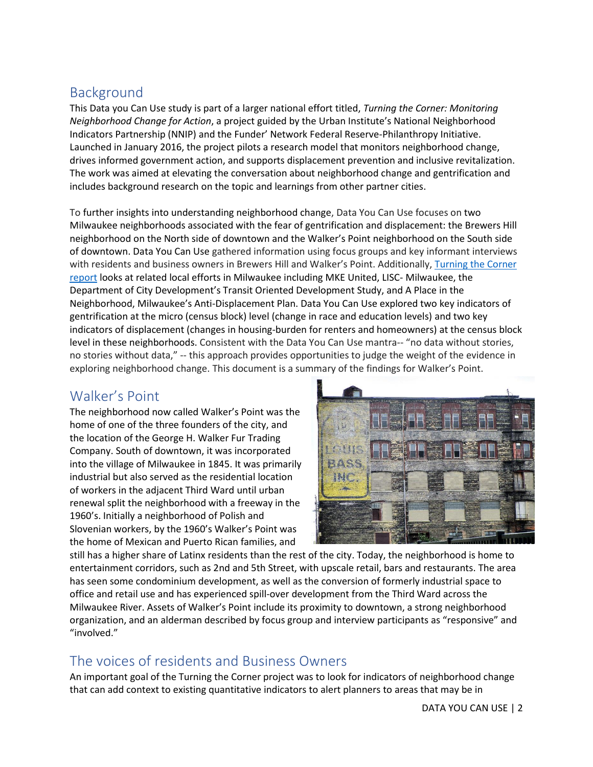# Background

This Data you Can Use study is part of a larger national effort titled, *Turning the Corner: Monitoring Neighborhood Change for Action*, a project guided by the Urban Institute's National Neighborhood Indicators Partnership (NNIP) and the Funder' Network Federal Reserve-Philanthropy Initiative. Launched in January 2016, the project pilots a research model that monitors neighborhood change, drives informed government action, and supports displacement prevention and inclusive revitalization. The work was aimed at elevating the conversation about neighborhood change and gentrification and includes background research on the topic and learnings from other partner cities.

To further insights into understanding neighborhood change, Data You Can Use focuses on two Milwaukee neighborhoods associated with the fear of gentrification and displacement: the Brewers Hill neighborhood on the North side of downtown and the Walker's Point neighborhood on the South side of downtown. Data You Can Use gathered information using focus groups and key informant interviews with residents and business owners in Brewers Hill and Walker's Point. Additionally, [Turning the Corner](https://www.datayoucanuse.org/turning-the-corner/)  [report](https://www.datayoucanuse.org/turning-the-corner/) looks at related local efforts in Milwaukee including MKE United, LISC- Milwaukee, the Department of City Development's Transit Oriented Development Study, and A Place in the Neighborhood, Milwaukee's Anti-Displacement Plan. Data You Can Use explored two key indicators of gentrification at the micro (census block) level (change in race and education levels) and two key indicators of displacement (changes in housing-burden for renters and homeowners) at the census block level in these neighborhoods. Consistent with the Data You Can Use mantra-- "no data without stories, no stories without data," -- this approach provides opportunities to judge the weight of the evidence in exploring neighborhood change. This document is a summary of the findings for Walker's Point.

## Walker's Point

The neighborhood now called Walker's Point was the home of one of the three founders of the city, and the location of the George H. Walker Fur Trading Company. South of downtown, it was incorporated into the village of Milwaukee in 1845. It was primarily industrial but also served as the residential location of workers in the adjacent Third Ward until urban renewal split the neighborhood with a freeway in the 1960's. Initially a neighborhood of Polish and Slovenian workers, by the 1960's Walker's Point was the home of Mexican and Puerto Rican families, and



still has a higher share of Latinx residents than the rest of the city. Today, the neighborhood is home to entertainment corridors, such as 2nd and 5th Street, with upscale retail, bars and restaurants. The area has seen some condominium development, as well as the conversion of formerly industrial space to office and retail use and has experienced spill-over development from the Third Ward across the Milwaukee River. Assets of Walker's Point include its proximity to downtown, a strong neighborhood organization, and an alderman described by focus group and interview participants as "responsive" and "involved."

## The voices of residents and Business Owners

An important goal of the Turning the Corner project was to look for indicators of neighborhood change that can add context to existing quantitative indicators to alert planners to areas that may be in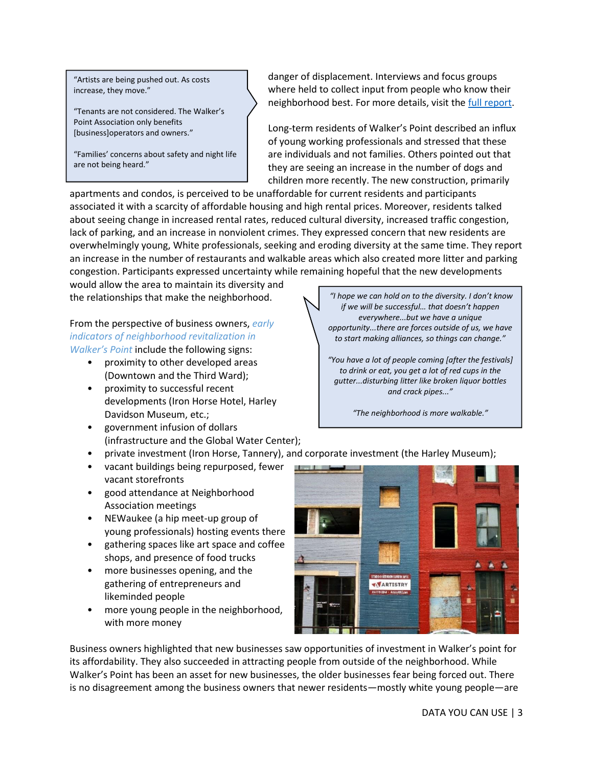"Artists are being pushed out. As costs increase, they move."

"Tenants are not considered. The Walker's Point Association only benefits [business]operators and owners."

"Families' concerns about safety and night life are not being heard."

danger of displacement. Interviews and focus groups where held to collect input from people who know their neighborhood best. For more details, visit the [full report.](https://www.datayoucanuse.org/wp-content/uploads/dlm_uploads/2019/04/Turning-the-Corner-Full-Report.pdf)

Long-term residents of Walker's Point described an influx of young working professionals and stressed that these are individuals and not families. Others pointed out that they are seeing an increase in the number of dogs and children more recently. The new construction, primarily

apartments and condos, is perceived to be unaffordable for current residents and participants associated it with a scarcity of affordable housing and high rental prices. Moreover, residents talked about seeing change in increased rental rates, reduced cultural diversity, increased traffic congestion, lack of parking, and an increase in nonviolent crimes. They expressed concern that new residents are overwhelmingly young, White professionals, seeking and eroding diversity at the same time. They report an increase in the number of restaurants and walkable areas which also created more litter and parking congestion. Participants expressed uncertainty while remaining hopeful that the new developments

would allow the area to maintain its diversity and the relationships that make the neighborhood.

From the perspective of business owners, *early indicators of neighborhood revitalization in Walker's Point* include the following signs:

- proximity to other developed areas (Downtown and the Third Ward);
- proximity to successful recent developments (Iron Horse Hotel, Harley Davidson Museum, etc.;
- government infusion of dollars (infrastructure and the Global Water Center);
- private investment (Iron Horse, Tannery), and corporate investment (the Harley Museum);
- vacant buildings being repurposed, fewer vacant storefronts
- good attendance at Neighborhood Association meetings
- NEWaukee (a hip meet-up group of young professionals) hosting events there
- gathering spaces like art space and coffee shops, and presence of food trucks
- more businesses opening, and the gathering of entrepreneurs and likeminded people
- more young people in the neighborhood, with more money

*"I hope we can hold on to the diversity. I don't know if we will be successful… that doesn't happen everywhere...but we have a unique opportunity...there are forces outside of us, we have to start making alliances, so things can change."*

*"You have a lot of people coming [after the festivals] to drink or eat, you get a lot of red cups in the gutter...disturbing litter like broken liquor bottles and crack pipes..."*

*"The neighborhood is more walkable."*



Business owners highlighted that new businesses saw opportunities of investment in Walker's point for its affordability. They also succeeded in attracting people from outside of the neighborhood. While Walker's Point has been an asset for new businesses, the older businesses fear being forced out. There is no disagreement among the business owners that newer residents—mostly white young people—are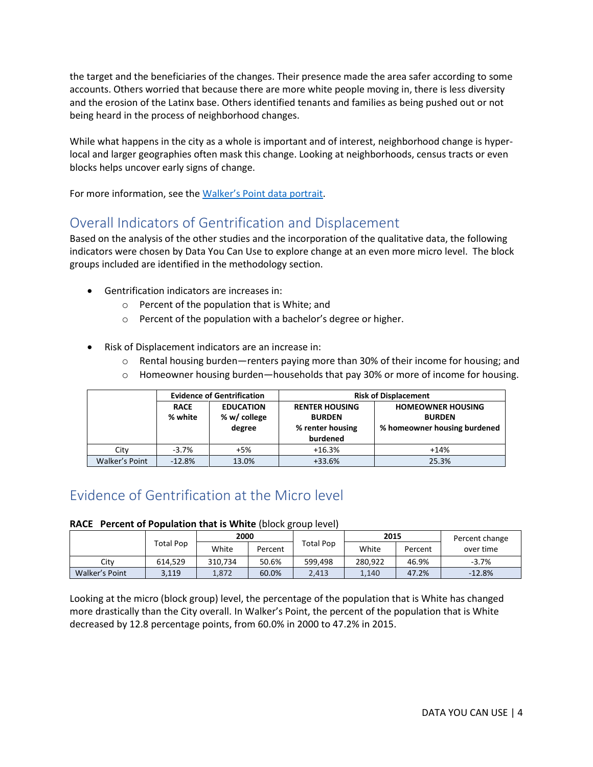the target and the beneficiaries of the changes. Their presence made the area safer according to some accounts. Others worried that because there are more white people moving in, there is less diversity and the erosion of the Latinx base. Others identified tenants and families as being pushed out or not being heard in the process of neighborhood changes.

While what happens in the city as a whole is important and of interest, neighborhood change is hyperlocal and larger geographies often mask this change. Looking at neighborhoods, census tracts or even blocks helps uncover early signs of change.

For more information, see the Walker's [Point data portrait.](http://www.datayoucanuse.org/wp-content/uploads/2019/02/Walkers-Point-Neighborhood-Portrait.pdf)

## Overall Indicators of Gentrification and Displacement

Based on the analysis of the other studies and the incorporation of the qualitative data, the following indicators were chosen by Data You Can Use to explore change at an even more micro level. The block groups included are identified in the methodology section.

- Gentrification indicators are increases in:
	- o Percent of the population that is White; and
	- o Percent of the population with a bachelor's degree or higher.
- Risk of Displacement indicators are an increase in:
	- o Rental housing burden—renters paying more than 30% of their income for housing; and
	- $\circ$  Homeowner housing burden—households that pay 30% or more of income for housing.

|                |                        | <b>Evidence of Gentrification</b>          | <b>Risk of Displacement</b>                                            |                                                                           |  |  |  |
|----------------|------------------------|--------------------------------------------|------------------------------------------------------------------------|---------------------------------------------------------------------------|--|--|--|
|                | <b>RACE</b><br>% white | <b>EDUCATION</b><br>% w/ college<br>degree | <b>RENTER HOUSING</b><br><b>BURDEN</b><br>% renter housing<br>burdened | <b>HOMEOWNER HOUSING</b><br><b>BURDEN</b><br>% homeowner housing burdened |  |  |  |
| City           | $-3.7%$                | $+5%$                                      | $+16.3%$                                                               | $+14%$                                                                    |  |  |  |
| Walker's Point | $-12.8%$               | 13.0%                                      | $+33.6%$                                                               | 25.3%                                                                     |  |  |  |

# Evidence of Gentrification at the Micro level

#### **RACE Percent of Population that is White** (block group level)

|                | Total Pop | 2000    |         |           | 2015    |         | Percent change |
|----------------|-----------|---------|---------|-----------|---------|---------|----------------|
|                |           | White   | Percent | Total Pop | White   | Percent | over time      |
| Citv           | 614.529   | 310.734 | 50.6%   | 599.498   | 280.922 | 46.9%   | $-3.7%$        |
| Walker's Point | 3,119     | 1.872   | 60.0%   | 2.413     | 1.140   | 47.2%   | $-12.8%$       |

Looking at the micro (block group) level, the percentage of the population that is White has changed more drastically than the City overall. In Walker's Point, the percent of the population that is White decreased by 12.8 percentage points, from 60.0% in 2000 to 47.2% in 2015.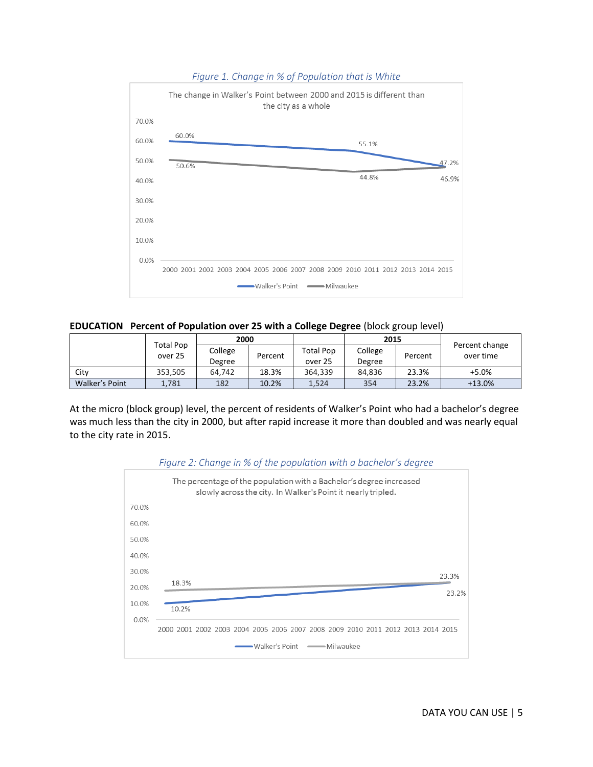

#### *Figure 1. Change in % of Population that is White*

**EDUCATION Percent of Population over 25 with a College Degree** (block group level)

|                | <b>Total Pop</b><br>over 25 | 2000    |         |                  | 2015    |         |                             |
|----------------|-----------------------------|---------|---------|------------------|---------|---------|-----------------------------|
|                |                             | College | Percent | <b>Total Pop</b> | College | Percent | Percent change<br>over time |
|                |                             | Degree  |         | over 25          | Degree  |         |                             |
| City           | 353.505                     | 64.742  | 18.3%   | 364,339          | 84,836  | 23.3%   | $+5.0%$                     |
| Walker's Point | 1,781                       | 182     | 10.2%   | 1.524            | 354     | 23.2%   | $+13.0%$                    |

At the micro (block group) level, the percent of residents of Walker's Point who had a bachelor's degree was much less than the city in 2000, but after rapid increase it more than doubled and was nearly equal to the city rate in 2015.



*Figure 2: Change in % of the population with a bachelor's degree*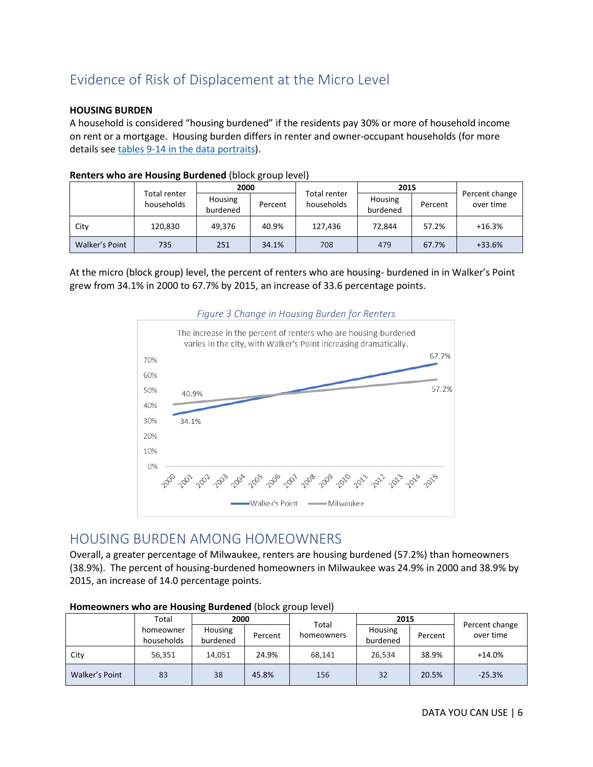# Evidence of Risk of Displacement at the Micro Level

#### **HOUSING BURDEN**

A household is considered "housing burdened" if the residents pay 30% or more of household income on rent or a mortgage. Housing burden differs in renter and owner-occupant households (for more details see [tables 9-14 in the data](http://www.datayoucanuse.org/wp-content/uploads/2019/02/Walkers-Point-Neighborhood-Portrait.pdf) portraits).

|                | Total renter<br>households | 2000                |         |                                   | 2015                |         |                             |
|----------------|----------------------------|---------------------|---------|-----------------------------------|---------------------|---------|-----------------------------|
|                |                            | Housing<br>burdened | Percent | <b>Total renter</b><br>households | Housing<br>burdened | Percent | Percent change<br>over time |
| City           | 120,830                    | 49.376              | 40.9%   | 127,436                           | 72,844              | 57.2%   | $+16.3%$                    |
| Walker's Point | 735                        | 251                 | 34.1%   | 708                               | 479                 | 67.7%   | $+33.6%$                    |

#### **Renters who are Housing Burdened** (block group level)

At the micro (block group) level, the percent of renters who are housing- burdened in in Walker's Point grew from 34.1% in 2000 to 67.7% by 2015, an increase of 33.6 percentage points.



### *Figure 3 Change in Housing Burden for Renters*

### HOUSING BURDEN AMONG HOMEOWNERS

Overall, a greater percentage of Milwaukee, renters are housing burdened (57.2%) than homeowners (38.9%). The percent of housing-burdened homeowners in Milwaukee was 24.9% in 2000 and 38.9% by 2015, an increase of 14.0 percentage points.

| . .            |                         |                     |         |                     |                     |         |                             |  |  |
|----------------|-------------------------|---------------------|---------|---------------------|---------------------|---------|-----------------------------|--|--|
|                | Total                   | 2000                |         |                     | 2015                |         |                             |  |  |
|                | homeowner<br>households | Housing<br>burdened | Percent | Total<br>homeowners | Housing<br>burdened | Percent | Percent change<br>over time |  |  |
| City           | 56,351                  | 14.051              | 24.9%   | 68.141              | 26.534              | 38.9%   | $+14.0%$                    |  |  |
| Walker's Point | 83                      | 38                  | 45.8%   | 156                 | 32                  | 20.5%   | $-25.3%$                    |  |  |

#### **Homeowners who are Housing Burdened** (block group level)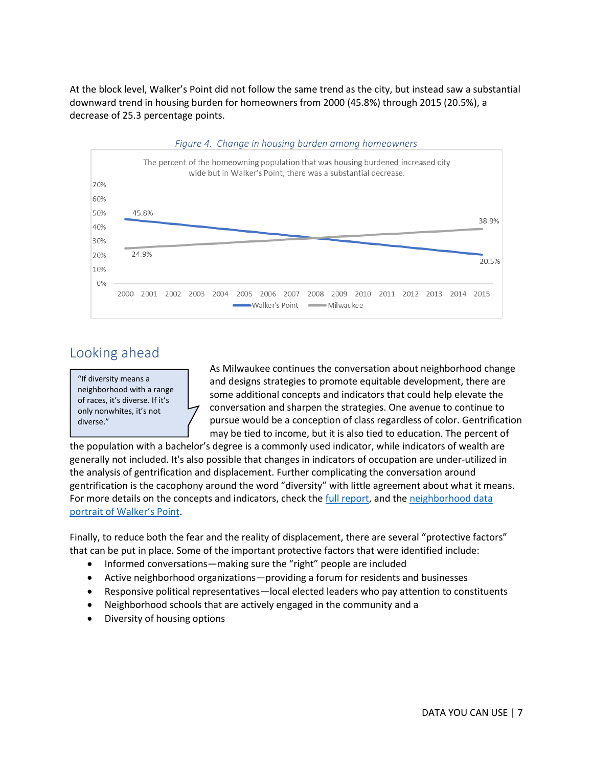At the block level, Walker's Point did not follow the same trend as the city, but instead saw a substantial downward trend in housing burden for homeowners from 2000 (45.8%) through 2015 (20.5%), a decrease of 25.3 percentage points.



### Looking ahead

"If diversity means a neighborhood with a range of races, it's diverse. If it's only nonwhites, it's not diverse."

As Milwaukee continues the conversation about neighborhood change and designs strategies to promote equitable development, there are some additional concepts and indicators that could help elevate the conversation and sharpen the strategies. One avenue to continue to pursue would be a conception of class regardless of color. Gentrification may be tied to income, but it is also tied to education. The percent of

the population with a bachelor's degree is a commonly used indicator, while indicators of wealth are generally not included. It's also possible that changes in indicators of occupation are under-utilized in the analysis of gentrification and displacement. Further complicating the conversation around gentrification is the cacophony around the word "diversity" with little agreement about what it means. For more details on the concepts and indicators, check the [full report,](https://www.datayoucanuse.org/wp-content/uploads/dlm_uploads/2019/04/Turning-the-Corner-Full-Report.pdf) and the [neighborhood data](http://www.datayoucanuse.org/wp-content/uploads/2019/02/Walkers-Point-Neighborhood-Portrait.pdf)  portrait [of Walker's Point](http://www.datayoucanuse.org/wp-content/uploads/2019/02/Walkers-Point-Neighborhood-Portrait.pdf).

Finally, to reduce both the fear and the reality of displacement, there are several "protective factors" that can be put in place. Some of the important protective factors that were identified include:

- Informed conversations—making sure the "right" people are included
- Active neighborhood organizations—providing a forum for residents and businesses
- Responsive political representatives—local elected leaders who pay attention to constituents
- Neighborhood schools that are actively engaged in the community and a
- Diversity of housing options